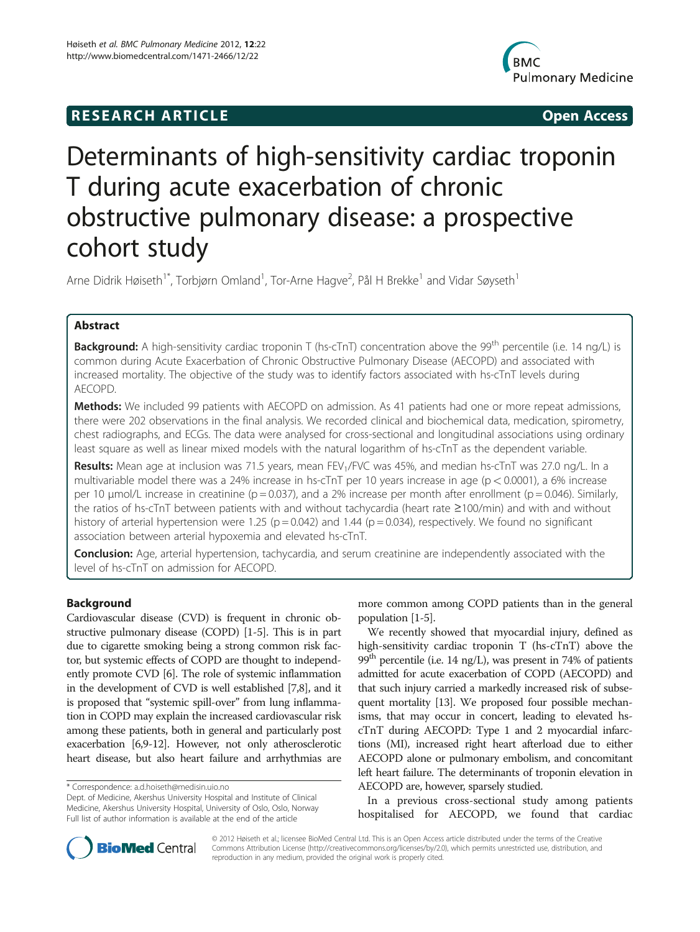# **RESEARCH ARTICLE Example 2018 12:00 THE Open Access**



# Determinants of high-sensitivity cardiac troponin T during acute exacerbation of chronic obstructive pulmonary disease: a prospective cohort study

Arne Didrik Høiseth<sup>1\*</sup>, Torbjørn Omland<sup>1</sup>, Tor-Arne Hagve<sup>2</sup>, Pål H Brekke<sup>1</sup> and Vidar Søyseth<sup>1</sup>

# Abstract

**Background:** A high-sensitivity cardiac troponin T (hs-cTnT) concentration above the 99<sup>th</sup> percentile (i.e. 14 ng/L) is common during Acute Exacerbation of Chronic Obstructive Pulmonary Disease (AECOPD) and associated with increased mortality. The objective of the study was to identify factors associated with hs-cTnT levels during AECOPD.

**Methods:** We included 99 patients with AECOPD on admission. As 41 patients had one or more repeat admissions, there were 202 observations in the final analysis. We recorded clinical and biochemical data, medication, spirometry, chest radiographs, and ECGs. The data were analysed for cross-sectional and longitudinal associations using ordinary least square as well as linear mixed models with the natural logarithm of hs-cTnT as the dependent variable.

Results: Mean age at inclusion was 71.5 years, mean FEV<sub>1</sub>/FVC was 45%, and median hs-cTnT was 27.0 ng/L. In a multivariable model there was a 24% increase in hs-cTnT per 10 years increase in age ( $p < 0.0001$ ), a 6% increase per 10  $\mu$ mol/L increase in creatinine (p = 0.037), and a 2% increase per month after enrollment (p = 0.046). Similarly, the ratios of hs-cTnT between patients with and without tachycardia (heart rate ≥100/min) and with and without history of arterial hypertension were 1.25 ( $p = 0.042$ ) and 1.44 ( $p = 0.034$ ), respectively. We found no significant association between arterial hypoxemia and elevated hs-cTnT.

Conclusion: Age, arterial hypertension, tachycardia, and serum creatinine are independently associated with the level of hs-cTnT on admission for AECOPD.

# Background

Cardiovascular disease (CVD) is frequent in chronic obstructive pulmonary disease (COPD) [[1](#page-6-0)-[5](#page-6-0)]. This is in part due to cigarette smoking being a strong common risk factor, but systemic effects of COPD are thought to independently promote CVD [[6](#page-6-0)]. The role of systemic inflammation in the development of CVD is well established [[7,8](#page-6-0)], and it is proposed that "systemic spill-over" from lung inflammation in COPD may explain the increased cardiovascular risk among these patients, both in general and particularly post exacerbation [\[6,9](#page-6-0)-[12](#page-6-0)]. However, not only atherosclerotic heart disease, but also heart failure and arrhythmias are

more common among COPD patients than in the general population [[1](#page-6-0)-[5\]](#page-6-0).

We recently showed that myocardial injury, defined as high-sensitivity cardiac troponin T (hs-cTnT) above the 99<sup>th</sup> percentile (i.e. 14 ng/L), was present in 74% of patients admitted for acute exacerbation of COPD (AECOPD) and that such injury carried a markedly increased risk of subsequent mortality [\[13\]](#page-6-0). We proposed four possible mechanisms, that may occur in concert, leading to elevated hscTnT during AECOPD: Type 1 and 2 myocardial infarctions (MI), increased right heart afterload due to either AECOPD alone or pulmonary embolism, and concomitant left heart failure. The determinants of troponin elevation in AECOPD are, however, sparsely studied.

In a previous cross-sectional study among patients hospitalised for AECOPD, we found that cardiac



© 2012 Høiseth et al.; licensee BioMed Central Ltd. This is an Open Access article distributed under the terms of the Creative Commons Attribution License (http://creativecommons.org/licenses/by/2.0), which permits unrestricted use, distribution, and reproduction in any medium, provided the original work is properly cited.

<sup>\*</sup> Correspondence: [a.d.hoiseth@medisin.uio.no](mailto:a.d.hoiseth@medisin.uio.no)

Dept. of Medicine, Akershus University Hospital and Institute of Clinical Medicine, Akershus University Hospital, University of Oslo, Oslo, Norway Full list of author information is available at the end of the article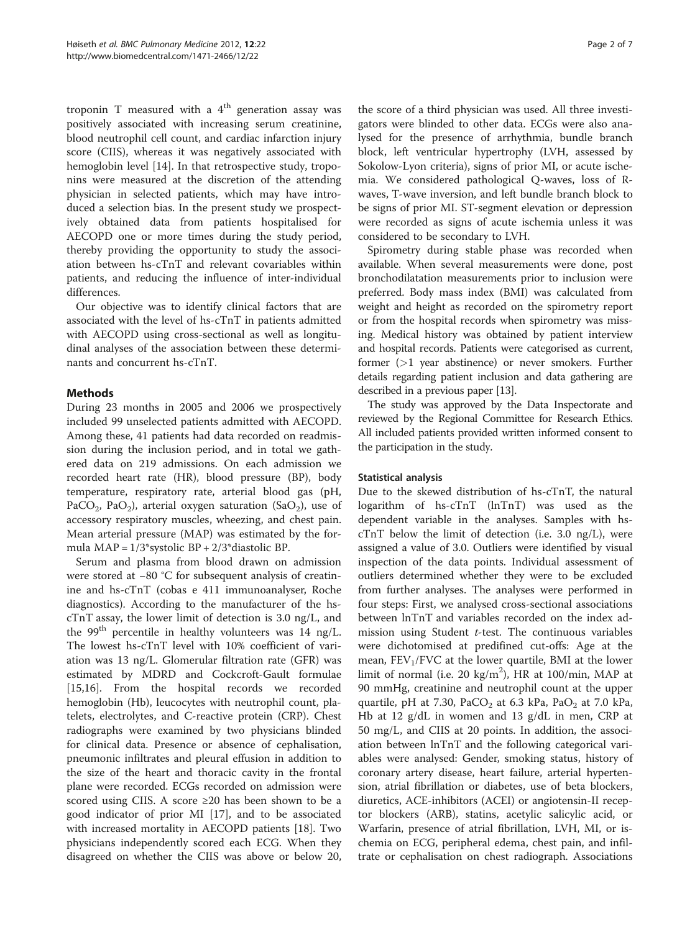troponin T measured with a  $4<sup>th</sup>$  generation assay was positively associated with increasing serum creatinine, blood neutrophil cell count, and cardiac infarction injury score (CIIS), whereas it was negatively associated with hemoglobin level [[14\]](#page-6-0). In that retrospective study, troponins were measured at the discretion of the attending physician in selected patients, which may have introduced a selection bias. In the present study we prospectively obtained data from patients hospitalised for AECOPD one or more times during the study period, thereby providing the opportunity to study the association between hs-cTnT and relevant covariables within patients, and reducing the influence of inter-individual differences.

Our objective was to identify clinical factors that are associated with the level of hs-cTnT in patients admitted with AECOPD using cross-sectional as well as longitudinal analyses of the association between these determinants and concurrent hs-cTnT.

# Methods

During 23 months in 2005 and 2006 we prospectively included 99 unselected patients admitted with AECOPD. Among these, 41 patients had data recorded on readmission during the inclusion period, and in total we gathered data on 219 admissions. On each admission we recorded heart rate (HR), blood pressure (BP), body temperature, respiratory rate, arterial blood gas (pH, PaCO<sub>2</sub>, PaO<sub>2</sub>), arterial oxygen saturation (SaO<sub>2</sub>), use of accessory respiratory muscles, wheezing, and chest pain. Mean arterial pressure (MAP) was estimated by the formula  $MAP = 1/3$ \*systolic  $BP + 2/3$ \*diastolic  $BP$ .

Serum and plasma from blood drawn on admission were stored at −80 °C for subsequent analysis of creatinine and hs-cTnT (cobas e 411 immunoanalyser, Roche diagnostics). According to the manufacturer of the hscTnT assay, the lower limit of detection is 3.0 ng/L, and the 99<sup>th</sup> percentile in healthy volunteers was 14 ng/L. The lowest hs-cTnT level with 10% coefficient of variation was 13 ng/L. Glomerular filtration rate (GFR) was estimated by MDRD and Cockcroft-Gault formulae [[15,16\]](#page-6-0). From the hospital records we recorded hemoglobin (Hb), leucocytes with neutrophil count, platelets, electrolytes, and C-reactive protein (CRP). Chest radiographs were examined by two physicians blinded for clinical data. Presence or absence of cephalisation, pneumonic infiltrates and pleural effusion in addition to the size of the heart and thoracic cavity in the frontal plane were recorded. ECGs recorded on admission were scored using CIIS. A score ≥20 has been shown to be a good indicator of prior MI [[17](#page-6-0)], and to be associated with increased mortality in AECOPD patients [\[18](#page-6-0)]. Two physicians independently scored each ECG. When they disagreed on whether the CIIS was above or below 20,

the score of a third physician was used. All three investigators were blinded to other data. ECGs were also analysed for the presence of arrhythmia, bundle branch block, left ventricular hypertrophy (LVH, assessed by Sokolow-Lyon criteria), signs of prior MI, or acute ischemia. We considered pathological Q-waves, loss of Rwaves, T-wave inversion, and left bundle branch block to be signs of prior MI. ST-segment elevation or depression were recorded as signs of acute ischemia unless it was considered to be secondary to LVH.

Spirometry during stable phase was recorded when available. When several measurements were done, post bronchodilatation measurements prior to inclusion were preferred. Body mass index (BMI) was calculated from weight and height as recorded on the spirometry report or from the hospital records when spirometry was missing. Medical history was obtained by patient interview and hospital records. Patients were categorised as current, former (>1 year abstinence) or never smokers. Further details regarding patient inclusion and data gathering are described in a previous paper [\[13\]](#page-6-0).

The study was approved by the Data Inspectorate and reviewed by the Regional Committee for Research Ethics. All included patients provided written informed consent to the participation in the study.

### Statistical analysis

Due to the skewed distribution of hs-cTnT, the natural logarithm of hs-cTnT (lnTnT) was used as the dependent variable in the analyses. Samples with hs $cTnT$  below the limit of detection (i.e. 3.0 ng/L), were assigned a value of 3.0. Outliers were identified by visual inspection of the data points. Individual assessment of outliers determined whether they were to be excluded from further analyses. The analyses were performed in four steps: First, we analysed cross-sectional associations between lnTnT and variables recorded on the index admission using Student t-test. The continuous variables were dichotomised at predifined cut-offs: Age at the mean,  $FEV<sub>1</sub>/FVC$  at the lower quartile, BMI at the lower limit of normal (i.e. 20  $\text{kg/m}^2$ ), HR at 100/min, MAP at 90 mmHg, creatinine and neutrophil count at the upper quartile, pH at 7.30, PaCO<sub>2</sub> at 6.3 kPa, PaO<sub>2</sub> at 7.0 kPa, Hb at 12 g/dL in women and 13 g/dL in men, CRP at 50 mg/L, and CIIS at 20 points. In addition, the association between lnTnT and the following categorical variables were analysed: Gender, smoking status, history of coronary artery disease, heart failure, arterial hypertension, atrial fibrillation or diabetes, use of beta blockers, diuretics, ACE-inhibitors (ACEI) or angiotensin-II receptor blockers (ARB), statins, acetylic salicylic acid, or Warfarin, presence of atrial fibrillation, LVH, MI, or ischemia on ECG, peripheral edema, chest pain, and infiltrate or cephalisation on chest radiograph. Associations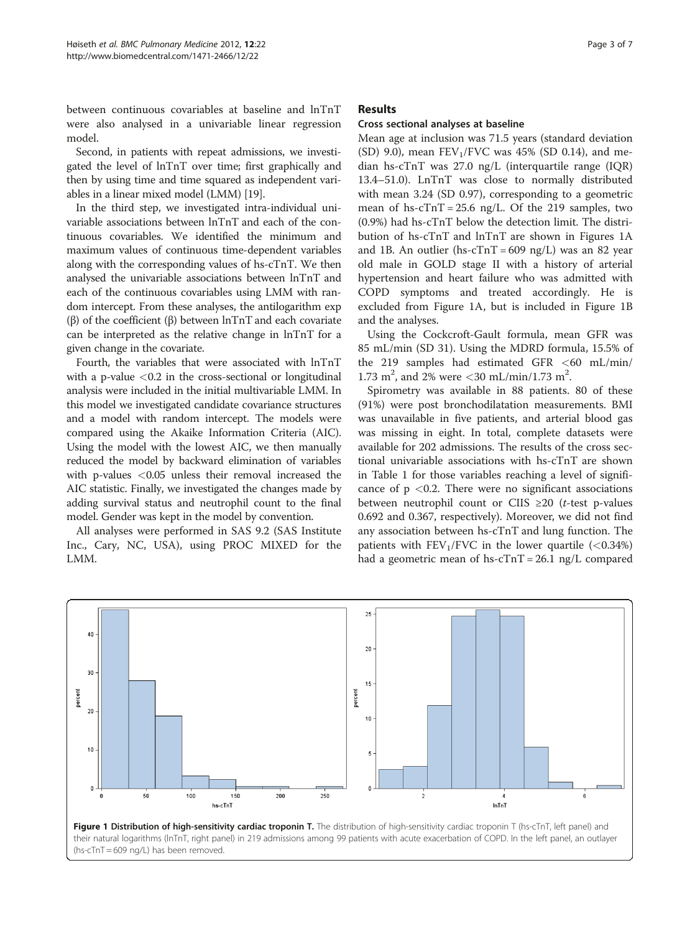between continuous covariables at baseline and lnTnT were also analysed in a univariable linear regression model.

Second, in patients with repeat admissions, we investigated the level of lnTnT over time; first graphically and then by using time and time squared as independent variables in a linear mixed model (LMM) [\[19\]](#page-6-0).

In the third step, we investigated intra-individual univariable associations between lnTnT and each of the continuous covariables. We identified the minimum and maximum values of continuous time-dependent variables along with the corresponding values of hs-cTnT. We then analysed the univariable associations between lnTnT and each of the continuous covariables using LMM with random intercept. From these analyses, the antilogarithm exp (β) of the coefficient (β) between lnTnT and each covariate can be interpreted as the relative change in lnTnT for a given change in the covariate.

Fourth, the variables that were associated with lnTnT with a p-value  $<$  0.2 in the cross-sectional or longitudinal analysis were included in the initial multivariable LMM. In this model we investigated candidate covariance structures and a model with random intercept. The models were compared using the Akaike Information Criteria (AIC). Using the model with the lowest AIC, we then manually reduced the model by backward elimination of variables with p-values <0.05 unless their removal increased the AIC statistic. Finally, we investigated the changes made by adding survival status and neutrophil count to the final model. Gender was kept in the model by convention.

All analyses were performed in SAS 9.2 (SAS Institute Inc., Cary, NC, USA), using PROC MIXED for the LMM.

## Results

# Cross sectional analyses at baseline

Mean age at inclusion was 71.5 years (standard deviation (SD) 9.0), mean  $FEV<sub>1</sub>/FVC$  was 45% (SD 0.14), and median hs-cTnT was 27.0 ng/L (interquartile range (IQR) 13.4–51.0). LnTnT was close to normally distributed with mean 3.24 (SD 0.97), corresponding to a geometric mean of hs- $cTnT = 25.6$  ng/L. Of the 219 samples, two (0.9%) had hs-cTnT below the detection limit. The distribution of hs-cTnT and lnTnT are shown in Figures 1A and 1B. An outlier (hs- $cTnT = 609$  ng/L) was an 82 year old male in GOLD stage II with a history of arterial hypertension and heart failure who was admitted with COPD symptoms and treated accordingly. He is excluded from Figure 1A, but is included in Figure 1B and the analyses.

Using the Cockcroft-Gault formula, mean GFR was 85 mL/min (SD 31). Using the MDRD formula, 15.5% of the 219 samples had estimated GFR  $\lt$  60 mL/min/ 1.73 m<sup>2</sup>, and 2% were <30 mL/min/1.73 m<sup>2</sup>.

Spirometry was available in 88 patients. 80 of these (91%) were post bronchodilatation measurements. BMI was unavailable in five patients, and arterial blood gas was missing in eight. In total, complete datasets were available for 202 admissions. The results of the cross sectional univariable associations with hs-cTnT are shown in Table [1](#page-3-0) for those variables reaching a level of significance of  $p < 0.2$ . There were no significant associations between neutrophil count or CIIS  $\geq 20$  (*t*-test p-values 0.692 and 0.367, respectively). Moreover, we did not find any association between hs-cTnT and lung function. The patients with  $FEV_1/FVC$  in the lower quartile  $(< 0.34\%)$ had a geometric mean of hs- $cTnT = 26.1$  ng/L compared

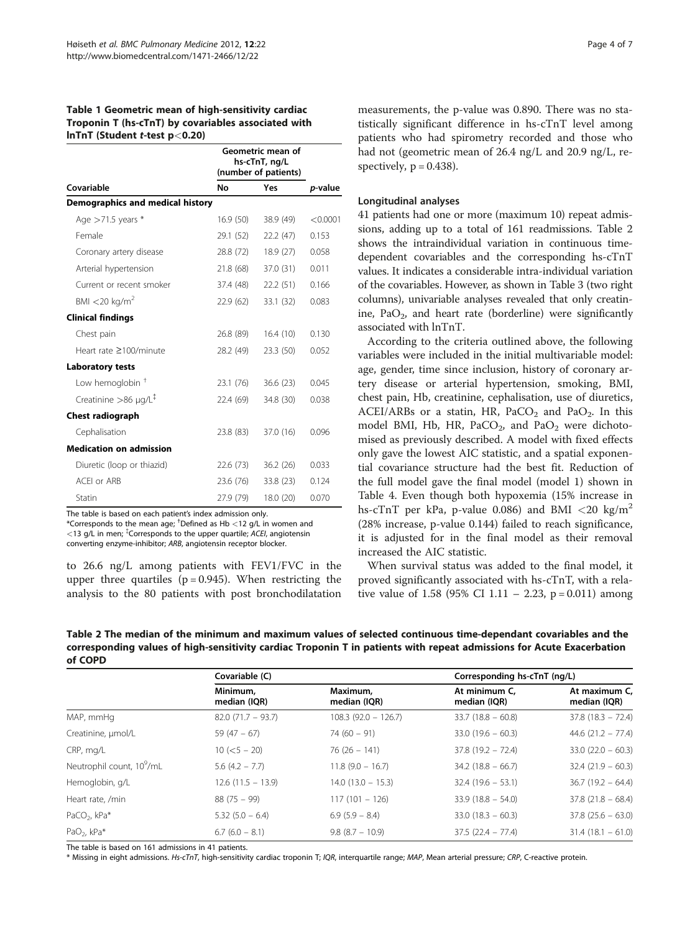## <span id="page-3-0"></span>Table 1 Geometric mean of high-sensitivity cardiac Troponin T (hs-cTnT) by covariables associated with lnTnT (Student t-test p<0.20)

|                                         | Geometric mean of<br>hs-cTnT, ng/L<br>(number of patients) |           |          |
|-----------------------------------------|------------------------------------------------------------|-----------|----------|
| Covariable                              | No                                                         | Yes       | p-value  |
| <b>Demographics and medical history</b> |                                                            |           |          |
| Age $>71.5$ years $*$                   | 16.9(50)                                                   | 38.9 (49) | < 0.0001 |
| Female                                  | 29.1 (52)                                                  | 22.2 (47) | 0.153    |
| Coronary artery disease                 | 28.8 (72)                                                  | 18.9(27)  | 0.058    |
| Arterial hypertension                   | 21.8 (68)                                                  | 37.0 (31) | 0.011    |
| Current or recent smoker                | 37.4 (48)                                                  | 22.2(51)  | 0.166    |
| BMI $<$ 20 kg/m <sup>2</sup>            | 22.9(62)                                                   | 33.1 (32) | 0.083    |
| <b>Clinical findings</b>                |                                                            |           |          |
| Chest pain                              | 26.8 (89)                                                  | 16.4(10)  | 0.130    |
| Heart rate ≥100/minute                  | 28.2 (49)                                                  | 23.3 (50) | 0.052    |
| <b>Laboratory tests</b>                 |                                                            |           |          |
| Low hemoglobin <sup>+</sup>             | 23.1 (76)                                                  | 36.6(23)  | 0.045    |
| Creatinine >86 $\mu$ g/L <sup>‡</sup>   | 22.4 (69)                                                  | 34.8 (30) | 0.038    |
| <b>Chest radiograph</b>                 |                                                            |           |          |
| Cephalisation                           | 23.8 (83)                                                  | 37.0 (16) | 0.096    |
| <b>Medication on admission</b>          |                                                            |           |          |
| Diuretic (loop or thiazid)              | 22.6 (73)                                                  | 36.2(26)  | 0.033    |
| ACEL or ARB                             | 23.6 (76)                                                  | 33.8 (23) | 0.124    |
| Statin                                  | 27.9 (79)                                                  | 18.0 (20) | 0.070    |

The table is based on each patient's index admission only.

 $*$ Corresponds to the mean age;  $\dagger$ Defined as Hb  $<$  12 g/L in women and  $<$ 13 g/L in men;  $\sqrt[4]{ }$ Corresponds to the upper quartile; ACEI, angiotensin converting enzyme-inhibitor; ARB, angiotensin receptor blocker.

to 26.6 ng/L among patients with FEV1/FVC in the upper three quartiles ( $p = 0.945$ ). When restricting the analysis to the 80 patients with post bronchodilatation measurements, the p-value was 0.890. There was no statistically significant difference in hs-cTnT level among patients who had spirometry recorded and those who had not (geometric mean of 26.4 ng/L and 20.9 ng/L, respectively,  $p = 0.438$ ).

# Longitudinal analyses

41 patients had one or more (maximum 10) repeat admissions, adding up to a total of 161 readmissions. Table 2 shows the intraindividual variation in continuous timedependent covariables and the corresponding hs-cTnT values. It indicates a considerable intra-individual variation of the covariables. However, as shown in Table [3](#page-4-0) (two right columns), univariable analyses revealed that only creatinine,  $PaO<sub>2</sub>$ , and heart rate (borderline) were significantly associated with lnTnT.

According to the criteria outlined above, the following variables were included in the initial multivariable model: age, gender, time since inclusion, history of coronary artery disease or arterial hypertension, smoking, BMI, chest pain, Hb, creatinine, cephalisation, use of diuretics, ACEI/ARBs or a statin, HR,  $PaCO<sub>2</sub>$  and  $PaO<sub>2</sub>$ . In this model BMI, Hb, HR, PaCO<sub>2</sub>, and PaO<sub>2</sub> were dichotomised as previously described. A model with fixed effects only gave the lowest AIC statistic, and a spatial exponential covariance structure had the best fit. Reduction of the full model gave the final model (model 1) shown in Table [4.](#page-4-0) Even though both hypoxemia (15% increase in hs-cTnT per kPa, p-value 0.086) and BMI  $\langle 20 \text{ kg/m}^2$ (28% increase, p-value 0.144) failed to reach significance, it is adjusted for in the final model as their removal increased the AIC statistic.

When survival status was added to the final model, it proved significantly associated with hs-cTnT, with a relative value of 1.58 (95% CI 1.11 – 2.23, p = 0.011) among

Table 2 The median of the minimum and maximum values of selected continuous time-dependant covariables and the corresponding values of high-sensitivity cardiac Troponin T in patients with repeat admissions for Acute Exacerbation of COPD

|                                       | Covariable (C)           |                          | Corresponding hs-cTnT (ng/L)  |                               |
|---------------------------------------|--------------------------|--------------------------|-------------------------------|-------------------------------|
|                                       | Minimum,<br>median (IQR) | Maximum,<br>median (IQR) | At minimum C,<br>median (IQR) | At maximum C,<br>median (IQR) |
| MAP, mmHg                             | $82.0(71.7 - 93.7)$      | $108.3$ (92.0 - 126.7)   | $33.7(18.8 - 60.8)$           | $37.8(18.3 - 72.4)$           |
| Creatinine, µmol/L                    | 59 $(47 - 67)$           | $74(60 - 91)$            | $33.0(19.6 - 60.3)$           | $44.6$ (21.2 – 77.4)          |
| CRP, mg/L                             | $10 (< 5 - 20)$          | $76(26 - 141)$           | $37.8(19.2 - 72.4)$           | $33.0$ (22.0 - 60.3)          |
| Neutrophil count, 10 <sup>9</sup> /mL | $5.6$ (4.2 – 7.7)        | $11.8(9.0 - 16.7)$       | $34.2$ (18.8 - 66.7)          | $32.4(21.9 - 60.3)$           |
| Hemoglobin, g/L                       | $12.6(11.5 - 13.9)$      | $14.0(13.0 - 15.3)$      | $32.4(19.6 - 53.1)$           | $36.7(19.2 - 64.4)$           |
| Heart rate, /min                      | $88(75 - 99)$            | $117(101 - 126)$         | $33.9(18.8 - 54.0)$           | $37.8$ (21.8 - 68.4)          |
| PaCO <sub>2</sub> , kPa*              | $5.32(5.0 - 6.4)$        | $6.9(5.9 - 8.4)$         | $33.0(18.3 - 60.3)$           | $37.8$ (25.6 - 63.0)          |
| PaO <sub>2</sub> , kPa*               | $6.7(6.0 - 8.1)$         | $9.8(8.7 - 10.9)$        | $37.5$ (22.4 - 77.4)          | $31.4(18.1 - 61.0)$           |

The table is based on 161 admissions in 41 patients.

\* Missing in eight admissions. Hs-cTnT, high-sensitivity cardiac troponin T; IQR, interquartile range; MAP, Mean arterial pressure; CRP, C-reactive protein.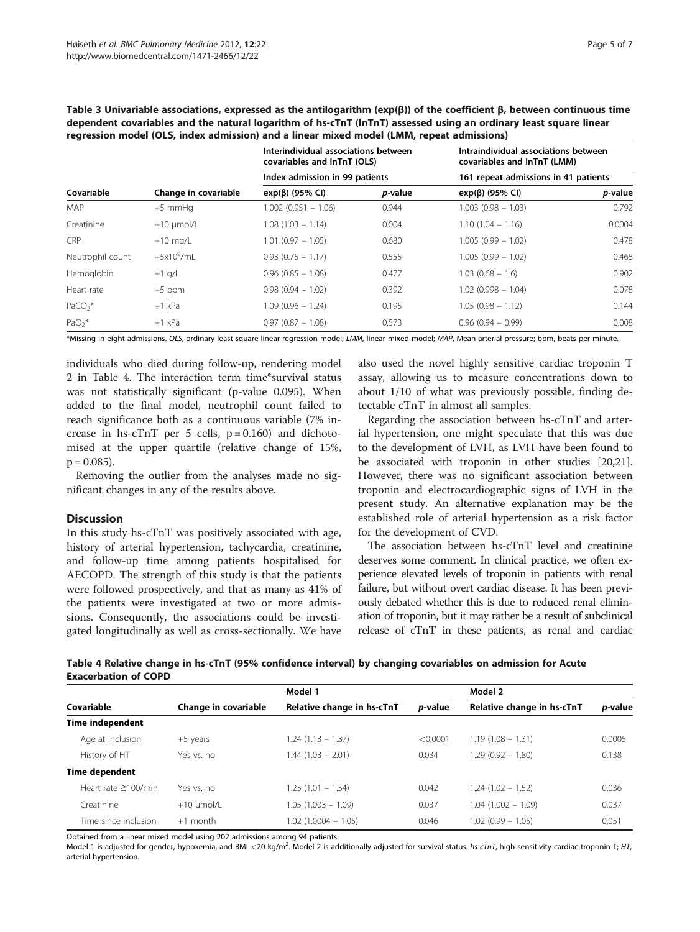| Covariable       | Change in covariable | Interindividual associations between<br>covariables and InTnT (OLS)<br>Index admission in 99 patients |           | Intraindividual associations between<br>covariables and InTnT (LMM)<br>161 repeat admissions in 41 patients |        |
|------------------|----------------------|-------------------------------------------------------------------------------------------------------|-----------|-------------------------------------------------------------------------------------------------------------|--------|
|                  |                      |                                                                                                       |           |                                                                                                             |        |
|                  |                      | <b>MAP</b>                                                                                            | $+5$ mmHq | $1.002$ (0.951 - 1.06)                                                                                      | 0.944  |
| Creatinine       | $+10$ µmol/L         | $1.08(1.03 - 1.14)$                                                                                   | 0.004     | $1.10(1.04 - 1.16)$                                                                                         | 0.0004 |
| CRP              | $+10$ mg/L           | $1.01(0.97 - 1.05)$                                                                                   | 0.680     | $1.005(0.99 - 1.02)$                                                                                        | 0.478  |
| Neutrophil count | $+5x10^9$ /mL        | $0.93(0.75 - 1.17)$                                                                                   | 0.555     | $1.005(0.99 - 1.02)$                                                                                        | 0.468  |
| Hemoglobin       | $+1$ g/L             | $0.96(0.85 - 1.08)$                                                                                   | 0.477     | $1.03(0.68 - 1.6)$                                                                                          | 0.902  |
| Heart rate       | $+5$ bpm             | $0.98(0.94 - 1.02)$                                                                                   | 0.392     | $1.02(0.998 - 1.04)$                                                                                        | 0.078  |
| $PaCO2$ *        | $+1$ kPa             | $1.09(0.96 - 1.24)$                                                                                   | 0.195     | $1.05(0.98 - 1.12)$                                                                                         | 0.144  |
| $PaO2$ *         | $+1$ kPa             | $0.97(0.87 - 1.08)$                                                                                   | 0.573     | $0.96(0.94 - 0.99)$                                                                                         | 0.008  |

<span id="page-4-0"></span>Table 3 Univariable associations, expressed as the antilogarithm (exp(β)) of the coefficient β, between continuous time dependent covariables and the natural logarithm of hs-cTnT (lnTnT) assessed using an ordinary least square linear regression model (OLS, index admission) and a linear mixed model (LMM, repeat admissions)

\*Missing in eight admissions. OLS, ordinary least square linear regression model; LMM, linear mixed model; MAP, Mean arterial pressure; bpm, beats per minute.

individuals who died during follow-up, rendering model 2 in Table 4. The interaction term time\*survival status was not statistically significant (p-value 0.095). When added to the final model, neutrophil count failed to reach significance both as a continuous variable (7% increase in hs-cTnT per 5 cells,  $p = 0.160$  and dichotomised at the upper quartile (relative change of 15%,  $p = 0.085$ ).

Removing the outlier from the analyses made no significant changes in any of the results above.

#### **Discussion**

In this study hs-cTnT was positively associated with age, history of arterial hypertension, tachycardia, creatinine, and follow-up time among patients hospitalised for AECOPD. The strength of this study is that the patients were followed prospectively, and that as many as 41% of the patients were investigated at two or more admissions. Consequently, the associations could be investigated longitudinally as well as cross-sectionally. We have also used the novel highly sensitive cardiac troponin T assay, allowing us to measure concentrations down to about 1/10 of what was previously possible, finding detectable cTnT in almost all samples.

Regarding the association between hs-cTnT and arterial hypertension, one might speculate that this was due to the development of LVH, as LVH have been found to be associated with troponin in other studies [[20](#page-6-0),[21](#page-6-0)]. However, there was no significant association between troponin and electrocardiographic signs of LVH in the present study. An alternative explanation may be the established role of arterial hypertension as a risk factor for the development of CVD.

The association between hs-cTnT level and creatinine deserves some comment. In clinical practice, we often experience elevated levels of troponin in patients with renal failure, but without overt cardiac disease. It has been previously debated whether this is due to reduced renal elimination of troponin, but it may rather be a result of subclinical release of cTnT in these patients, as renal and cardiac

| Table 4 Relative change in hs-cTnT (95% confidence interval) by changing covariables on admission for Acute |  |  |
|-------------------------------------------------------------------------------------------------------------|--|--|
| <b>Exacerbation of COPD</b>                                                                                 |  |  |

|                                                                  |              | Model 1               |                            | Model 2              |        |
|------------------------------------------------------------------|--------------|-----------------------|----------------------------|----------------------|--------|
| Relative change in hs-cTnT<br>Covariable<br>Change in covariable |              | p-value               | Relative change in hs-cTnT | p-value              |        |
| <b>Time independent</b>                                          |              |                       |                            |                      |        |
| Age at inclusion                                                 | $+5$ years   | $1.24(1.13 - 1.37)$   | < 0.0001                   | $1.19(1.08 - 1.31)$  | 0.0005 |
| History of HT                                                    | Yes vs. no   | $1.44(1.03 - 2.01)$   | 0.034                      | $1.29(0.92 - 1.80)$  | 0.138  |
| <b>Time dependent</b>                                            |              |                       |                            |                      |        |
| Heart rate $\geq 100$ /min                                       | Yes vs. no   | $1.25(1.01 - 1.54)$   | 0.042                      | $1.24(1.02 - 1.52)$  | 0.036  |
| Creatinine                                                       | $+10$ µmol/L | $1.05(1.003 - 1.09)$  | 0.037                      | $1.04(1.002 - 1.09)$ | 0.037  |
| Time since inclusion                                             | $+1$ month   | $1.02(1.0004 - 1.05)$ | 0.046                      | $1.02(0.99 - 1.05)$  | 0.051  |

Obtained from a linear mixed model using 202 admissions among 94 patients.

Model 1 is adjusted for gender, hypoxemia, and BMI <20 kg/m<sup>2</sup>. Model 2 is additionally adjusted for survival status. hs-cTnT, high-sensitivity cardiac troponin T; HT, arterial hypertension.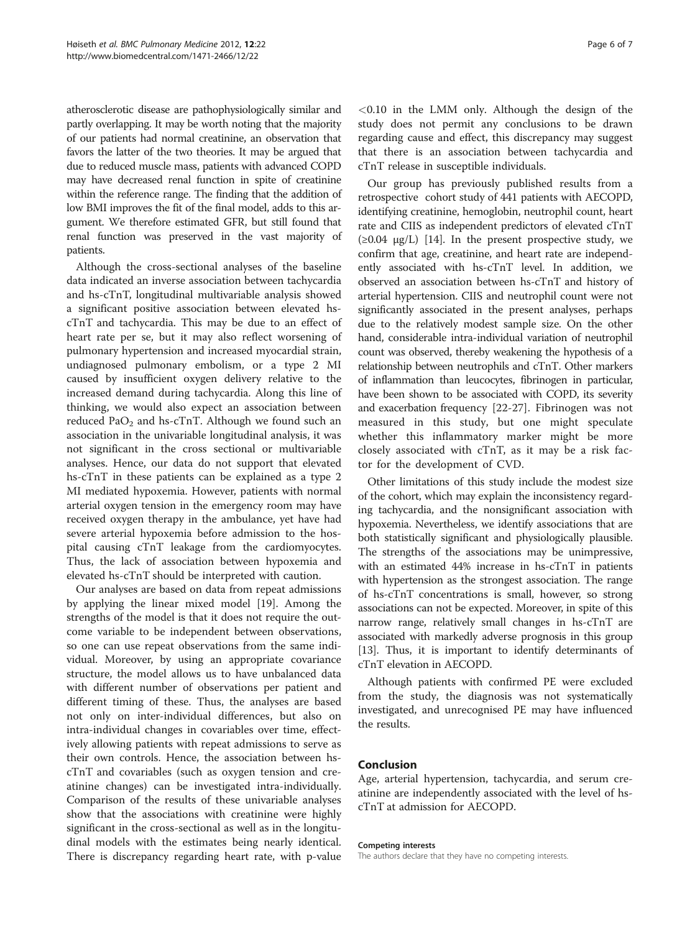atherosclerotic disease are pathophysiologically similar and partly overlapping. It may be worth noting that the majority of our patients had normal creatinine, an observation that favors the latter of the two theories. It may be argued that due to reduced muscle mass, patients with advanced COPD may have decreased renal function in spite of creatinine within the reference range. The finding that the addition of low BMI improves the fit of the final model, adds to this argument. We therefore estimated GFR, but still found that renal function was preserved in the vast majority of patients.

Although the cross-sectional analyses of the baseline data indicated an inverse association between tachycardia and hs-cTnT, longitudinal multivariable analysis showed a significant positive association between elevated hscTnT and tachycardia. This may be due to an effect of heart rate per se, but it may also reflect worsening of pulmonary hypertension and increased myocardial strain, undiagnosed pulmonary embolism, or a type 2 MI caused by insufficient oxygen delivery relative to the increased demand during tachycardia. Along this line of thinking, we would also expect an association between reduced  $PaO<sub>2</sub>$  and hs-cTnT. Although we found such an association in the univariable longitudinal analysis, it was not significant in the cross sectional or multivariable analyses. Hence, our data do not support that elevated hs-cTnT in these patients can be explained as a type 2 MI mediated hypoxemia. However, patients with normal arterial oxygen tension in the emergency room may have received oxygen therapy in the ambulance, yet have had severe arterial hypoxemia before admission to the hospital causing cTnT leakage from the cardiomyocytes. Thus, the lack of association between hypoxemia and elevated hs-cTnT should be interpreted with caution.

Our analyses are based on data from repeat admissions by applying the linear mixed model [[19\]](#page-6-0). Among the strengths of the model is that it does not require the outcome variable to be independent between observations, so one can use repeat observations from the same individual. Moreover, by using an appropriate covariance structure, the model allows us to have unbalanced data with different number of observations per patient and different timing of these. Thus, the analyses are based not only on inter-individual differences, but also on intra-individual changes in covariables over time, effectively allowing patients with repeat admissions to serve as their own controls. Hence, the association between hscTnT and covariables (such as oxygen tension and creatinine changes) can be investigated intra-individually. Comparison of the results of these univariable analyses show that the associations with creatinine were highly significant in the cross-sectional as well as in the longitudinal models with the estimates being nearly identical. There is discrepancy regarding heart rate, with p-value <0.10 in the LMM only. Although the design of the study does not permit any conclusions to be drawn regarding cause and effect, this discrepancy may suggest that there is an association between tachycardia and cTnT release in susceptible individuals.

Our group has previously published results from a retrospective cohort study of 441 patients with AECOPD, identifying creatinine, hemoglobin, neutrophil count, heart rate and CIIS as independent predictors of elevated cTnT  $(\geq 0.04 \mu g/L)$  [\[14\]](#page-6-0). In the present prospective study, we confirm that age, creatinine, and heart rate are independently associated with hs-cTnT level. In addition, we observed an association between hs-cTnT and history of arterial hypertension. CIIS and neutrophil count were not significantly associated in the present analyses, perhaps due to the relatively modest sample size. On the other hand, considerable intra-individual variation of neutrophil count was observed, thereby weakening the hypothesis of a relationship between neutrophils and cTnT. Other markers of inflammation than leucocytes, fibrinogen in particular, have been shown to be associated with COPD, its severity and exacerbation frequency [\[22](#page-6-0)-[27\]](#page-6-0). Fibrinogen was not measured in this study, but one might speculate whether this inflammatory marker might be more closely associated with cTnT, as it may be a risk factor for the development of CVD.

Other limitations of this study include the modest size of the cohort, which may explain the inconsistency regarding tachycardia, and the nonsignificant association with hypoxemia. Nevertheless, we identify associations that are both statistically significant and physiologically plausible. The strengths of the associations may be unimpressive, with an estimated 44% increase in hs-cTnT in patients with hypertension as the strongest association. The range of hs-cTnT concentrations is small, however, so strong associations can not be expected. Moreover, in spite of this narrow range, relatively small changes in hs-cTnT are associated with markedly adverse prognosis in this group [[13](#page-6-0)]. Thus, it is important to identify determinants of cTnT elevation in AECOPD.

Although patients with confirmed PE were excluded from the study, the diagnosis was not systematically investigated, and unrecognised PE may have influenced the results.

# Conclusion

Age, arterial hypertension, tachycardia, and serum creatinine are independently associated with the level of hscTnT at admission for AECOPD.

#### Competing interests

The authors declare that they have no competing interests.